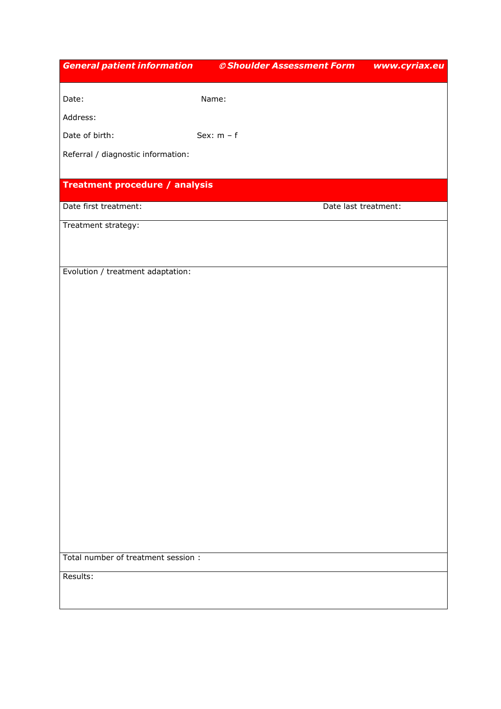| <b>General patient information</b>  | © Shoulder Assessment Form | www.cyriax.eu |
|-------------------------------------|----------------------------|---------------|
|                                     |                            |               |
| Date:                               | Name:                      |               |
| Address:                            |                            |               |
| Date of birth:                      | Sex: $m - f$               |               |
| Referral / diagnostic information:  |                            |               |
|                                     |                            |               |
| Treatment procedure / analysis      |                            |               |
| Date first treatment:               | Date last treatment:       |               |
| Treatment strategy:                 |                            |               |
|                                     |                            |               |
|                                     |                            |               |
| Evolution / treatment adaptation:   |                            |               |
|                                     |                            |               |
|                                     |                            |               |
|                                     |                            |               |
|                                     |                            |               |
|                                     |                            |               |
|                                     |                            |               |
|                                     |                            |               |
|                                     |                            |               |
|                                     |                            |               |
|                                     |                            |               |
|                                     |                            |               |
|                                     |                            |               |
|                                     |                            |               |
|                                     |                            |               |
|                                     |                            |               |
| Total number of treatment session : |                            |               |
| Results:                            |                            |               |
|                                     |                            |               |
|                                     |                            |               |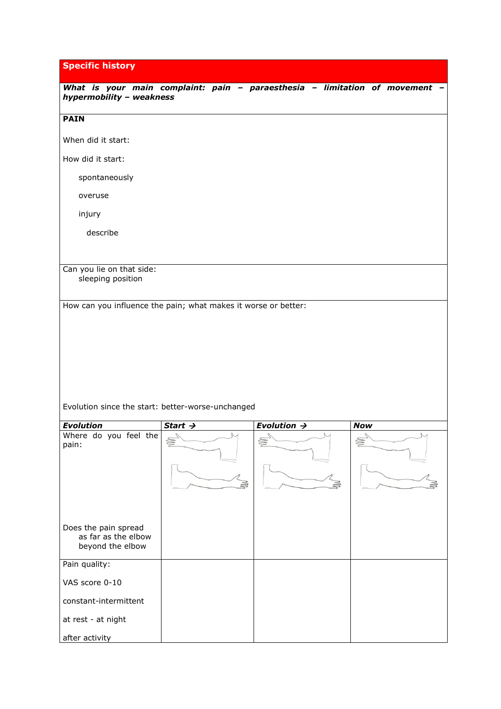**Specific history**

| What is your main complaint: pain - paraesthesia - limitation of movement<br>hypermobility - weakness |                     |                         |            |
|-------------------------------------------------------------------------------------------------------|---------------------|-------------------------|------------|
| <b>PAIN</b>                                                                                           |                     |                         |            |
| When did it start:                                                                                    |                     |                         |            |
| How did it start:                                                                                     |                     |                         |            |
| spontaneously                                                                                         |                     |                         |            |
| overuse                                                                                               |                     |                         |            |
| injury                                                                                                |                     |                         |            |
| describe                                                                                              |                     |                         |            |
|                                                                                                       |                     |                         |            |
| Can you lie on that side:<br>sleeping position                                                        |                     |                         |            |
| How can you influence the pain; what makes it worse or better:                                        |                     |                         |            |
|                                                                                                       |                     |                         |            |
|                                                                                                       |                     |                         |            |
|                                                                                                       |                     |                         |            |
|                                                                                                       |                     |                         |            |
|                                                                                                       |                     |                         |            |
| Evolution since the start: better-worse-unchanged                                                     |                     |                         |            |
| <b>Evolution</b>                                                                                      | Start $\rightarrow$ | Evolution $\rightarrow$ | <b>Now</b> |
| Where do you feel the<br>pain:                                                                        | S                   |                         |            |
| Does the pain spread<br>as far as the elbow<br>beyond the elbow                                       |                     |                         |            |
| Pain quality:                                                                                         |                     |                         |            |
| VAS score 0-10                                                                                        |                     |                         |            |
| constant-intermittent                                                                                 |                     |                         |            |
| at rest - at night                                                                                    |                     |                         |            |
| after activity                                                                                        |                     |                         |            |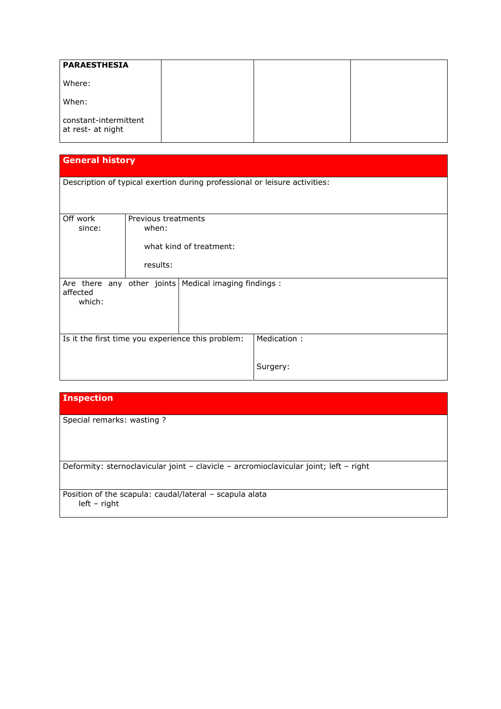| <b>PARAESTHESIA</b>                        |  |  |
|--------------------------------------------|--|--|
| Where:                                     |  |  |
| When:                                      |  |  |
| constant-intermittent<br>at rest- at night |  |  |

## **General history**

|  |  |  | Description of typical exertion during professional or leisure activities: |  |
|--|--|--|----------------------------------------------------------------------------|--|
|  |  |  |                                                                            |  |

| Off work                                          | Previous treatments |                                                         |             |
|---------------------------------------------------|---------------------|---------------------------------------------------------|-------------|
| since:                                            | when:               |                                                         |             |
|                                                   |                     |                                                         |             |
|                                                   |                     | what kind of treatment:                                 |             |
|                                                   |                     |                                                         |             |
|                                                   | results:            |                                                         |             |
|                                                   |                     |                                                         |             |
| affected                                          |                     | Are there any other joints   Medical imaging findings : |             |
| which:                                            |                     |                                                         |             |
|                                                   |                     |                                                         |             |
|                                                   |                     |                                                         |             |
|                                                   |                     |                                                         |             |
| Is it the first time you experience this problem: |                     |                                                         | Medication: |
|                                                   |                     |                                                         |             |
|                                                   |                     |                                                         |             |
|                                                   |                     |                                                         | Surgery:    |
|                                                   |                     |                                                         |             |

Special remarks: wasting ?

Deformity: sternoclavicular joint – clavicle – arcromioclavicular joint; left – right

Position of the scapula: caudal/lateral – scapula alata left – right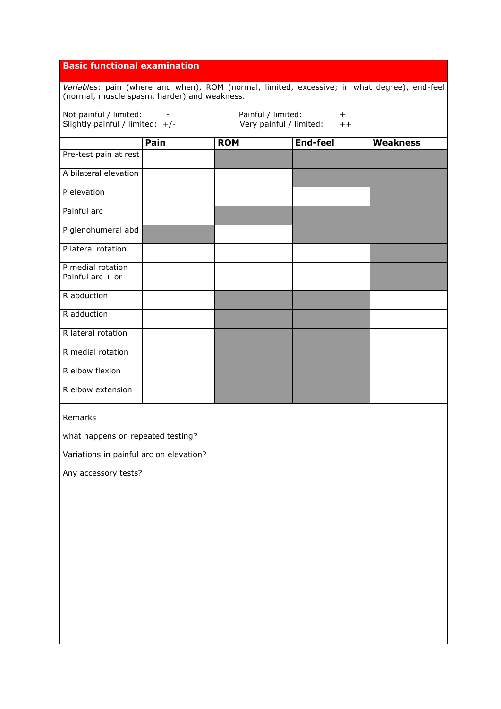## **Basic functional examination**

*Variables*: pain (where and when), ROM (normal, limited, excessive; in what degree), end-feel (normal, muscle spasm, harder) and weakness.

| Not painful / limited:                                               |      | Painful / limited: | $^{+}$          |                 |
|----------------------------------------------------------------------|------|--------------------|-----------------|-----------------|
| Slightly painful / limited: $+/-$<br>Very painful / limited:<br>$++$ |      |                    |                 |                 |
|                                                                      | Pain | <b>ROM</b>         | <b>End-feel</b> | <b>Weakness</b> |
| Pre-test pain at rest                                                |      |                    |                 |                 |
| A bilateral elevation                                                |      |                    |                 |                 |
| P elevation                                                          |      |                    |                 |                 |
| Painful arc                                                          |      |                    |                 |                 |
| P glenohumeral abd                                                   |      |                    |                 |                 |
| P lateral rotation                                                   |      |                    |                 |                 |
| P medial rotation<br>Painful arc $+$ or $-$                          |      |                    |                 |                 |
| R abduction                                                          |      |                    |                 |                 |
| R adduction                                                          |      |                    |                 |                 |
| R lateral rotation                                                   |      |                    |                 |                 |
| R medial rotation                                                    |      |                    |                 |                 |
| R elbow flexion                                                      |      |                    |                 |                 |
| R elbow extension                                                    |      |                    |                 |                 |

Remarks

what happens on repeated testing?

Variations in painful arc on elevation?

Any accessory tests?